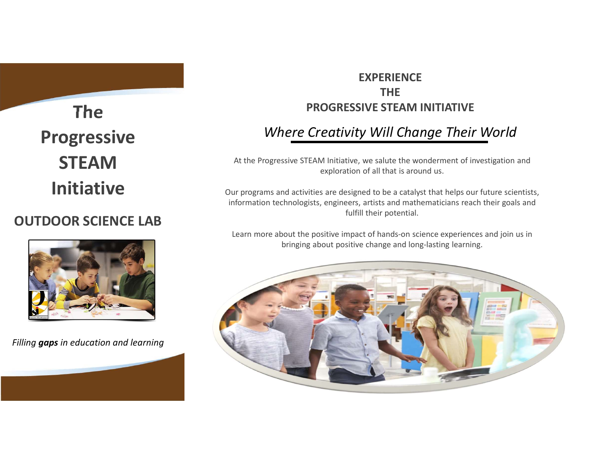The Progressive **STEAM** 

# OUTDOOR SCIENCE LAB



Filling **gaps** in education and learning

# **EXPERIENCE** THE PROGRESSIVE STEAM INITIATIVE

# Where Creativity Will Change Their World

At the Progressive STEAM Initiative, we salute the wonderment of investigation and exploration of all that is around us.

Our programs and activities are designed to be a catalyst that helps our future scientists, EXPERIENCE<br> **INFORESSIVE STEAM INITIATIVE**<br>
Where Creativity Will Change Their World<br>
At the Progressive STEAM Initiative, we salute the wonderment of investigation and<br>
exploration of all that is around us.<br>
Dur programs fulfill their potential. Initiative<br>
Our programs and activities are designed to be a catalyst that helps our future scientists<br>
information technologists, engineers, artists and mathematicians reach their goals and

Learn more about the positive impact of hands-on science experiences and join us in bringing about positive change and long-lasting learning.